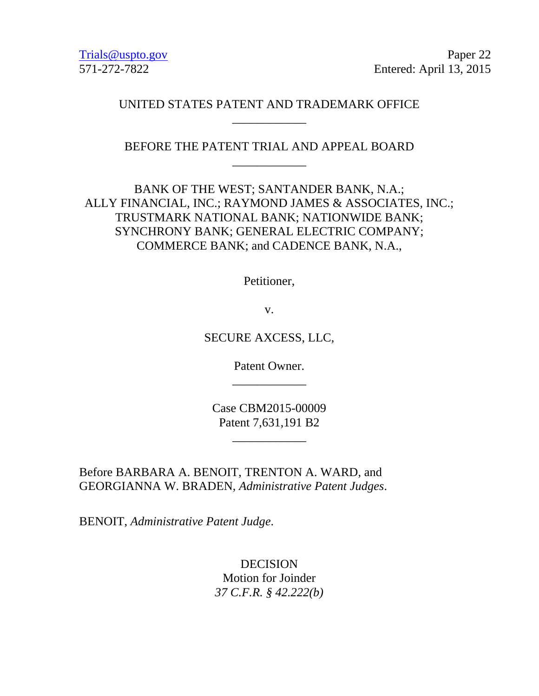Trials@uspto.gov Paper 22 571-272-7822 Entered: April 13, 2015

### UNITED STATES PATENT AND TRADEMARK OFFICE \_\_\_\_\_\_\_\_\_\_\_\_

BEFORE THE PATENT TRIAL AND APPEAL BOARD \_\_\_\_\_\_\_\_\_\_\_\_

BANK OF THE WEST; SANTANDER BANK, N.A.; ALLY FINANCIAL, INC.; RAYMOND JAMES & ASSOCIATES, INC.; TRUSTMARK NATIONAL BANK; NATIONWIDE BANK; SYNCHRONY BANK; GENERAL ELECTRIC COMPANY; COMMERCE BANK; and CADENCE BANK, N.A.,

Petitioner,

v.

SECURE AXCESS, LLC,

Patent Owner. \_\_\_\_\_\_\_\_\_\_\_\_

Case CBM2015-00009 Patent 7,631,191 B2

\_\_\_\_\_\_\_\_\_\_\_\_

Before BARBARA A. BENOIT, TRENTON A. WARD, and GEORGIANNA W. BRADEN, *Administrative Patent Judges*.

BENOIT, *Administrative Patent Judge*.

DECISION Motion for Joinder *37 C.F.R. § 42.222(b)*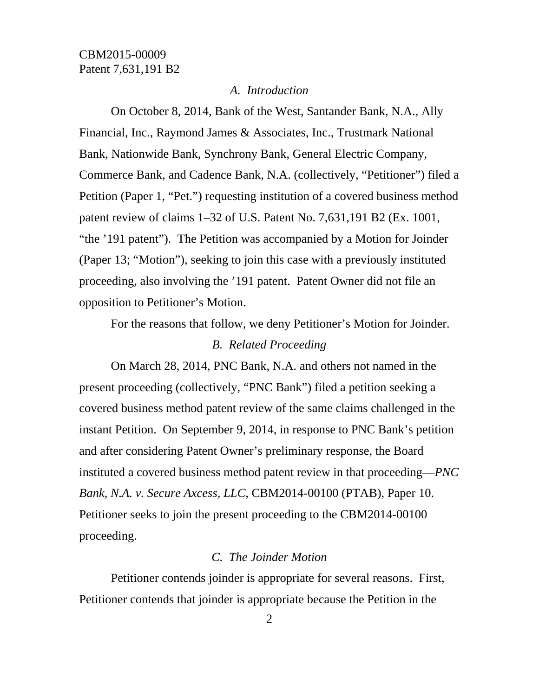#### *A. Introduction*

On October 8, 2014, Bank of the West, Santander Bank, N.A., Ally Financial, Inc., Raymond James & Associates, Inc., Trustmark National Bank, Nationwide Bank, Synchrony Bank, General Electric Company, Commerce Bank, and Cadence Bank, N.A. (collectively, "Petitioner") filed a Petition (Paper 1, "Pet.") requesting institution of a covered business method patent review of claims 1–32 of U.S. Patent No. 7,631,191 B2 (Ex. 1001, "the '191 patent"). The Petition was accompanied by a Motion for Joinder (Paper 13; "Motion"), seeking to join this case with a previously instituted proceeding, also involving the '191 patent. Patent Owner did not file an opposition to Petitioner's Motion.

For the reasons that follow, we deny Petitioner's Motion for Joinder. *B. Related Proceeding* 

On March 28, 2014, PNC Bank, N.A. and others not named in the present proceeding (collectively, "PNC Bank") filed a petition seeking a covered business method patent review of the same claims challenged in the instant Petition. On September 9, 2014, in response to PNC Bank's petition and after considering Patent Owner's preliminary response, the Board instituted a covered business method patent review in that proceeding—*PNC Bank, N.A. v. Secure Axcess, LLC*, CBM2014-00100 (PTAB), Paper 10. Petitioner seeks to join the present proceeding to the CBM2014-00100 proceeding.

#### *C. The Joinder Motion*

Petitioner contends joinder is appropriate for several reasons. First, Petitioner contends that joinder is appropriate because the Petition in the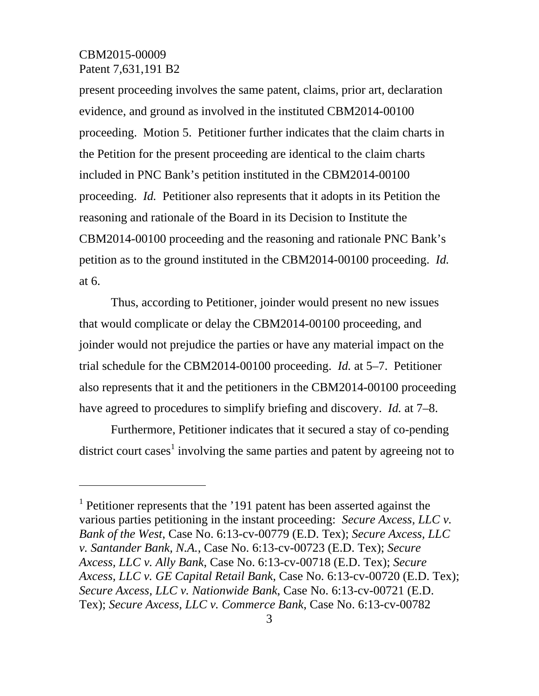$\overline{a}$ 

present proceeding involves the same patent, claims, prior art, declaration evidence, and ground as involved in the instituted CBM2014-00100 proceeding. Motion 5. Petitioner further indicates that the claim charts in the Petition for the present proceeding are identical to the claim charts included in PNC Bank's petition instituted in the CBM2014-00100 proceeding. *Id.* Petitioner also represents that it adopts in its Petition the reasoning and rationale of the Board in its Decision to Institute the CBM2014-00100 proceeding and the reasoning and rationale PNC Bank's petition as to the ground instituted in the CBM2014-00100 proceeding. *Id.* at 6.

Thus, according to Petitioner, joinder would present no new issues that would complicate or delay the CBM2014-00100 proceeding, and joinder would not prejudice the parties or have any material impact on the trial schedule for the CBM2014-00100 proceeding. *Id.* at 5–7. Petitioner also represents that it and the petitioners in the CBM2014-00100 proceeding have agreed to procedures to simplify briefing and discovery. *Id.* at 7–8.

Furthermore, Petitioner indicates that it secured a stay of co-pending district court cases<sup>1</sup> involving the same parties and patent by agreeing not to

<sup>&</sup>lt;sup>1</sup> Petitioner represents that the '191 patent has been asserted against the various parties petitioning in the instant proceeding: *Secure Axcess, LLC v. Bank of the West*, Case No. 6:13-cv-00779 (E.D. Tex); *Secure Axcess, LLC v. Santander Bank, N.A.*, Case No. 6:13-cv-00723 (E.D. Tex); *Secure Axcess, LLC v. Ally Bank*, Case No. 6:13-cv-00718 (E.D. Tex); *Secure Axcess, LLC v. GE Capital Retail Bank*, Case No. 6:13-cv-00720 (E.D. Tex); *Secure Axcess, LLC v. Nationwide Bank*, Case No. 6:13-cv-00721 (E.D. Tex); *Secure Axcess, LLC v. Commerce Bank*, Case No. 6:13-cv-00782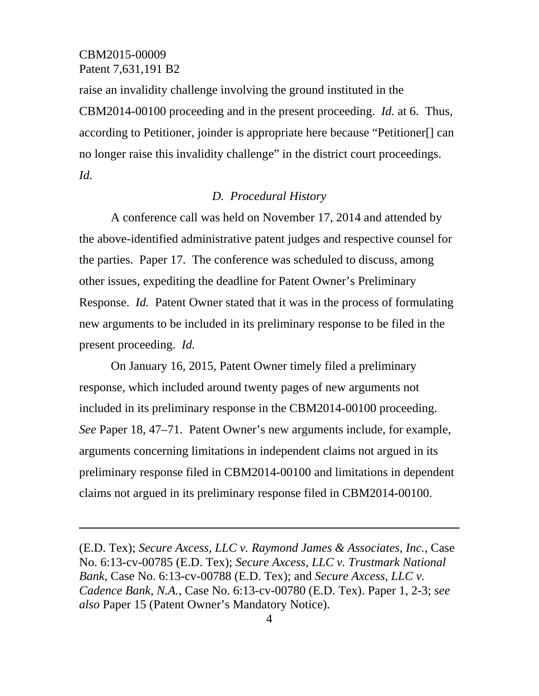-

raise an invalidity challenge involving the ground instituted in the CBM2014-00100 proceeding and in the present proceeding. *Id.* at 6. Thus, according to Petitioner, joinder is appropriate here because "Petitioner[] can no longer raise this invalidity challenge" in the district court proceedings. *Id.*

#### *D. Procedural History*

A conference call was held on November 17, 2014 and attended by the above-identified administrative patent judges and respective counsel for the parties. Paper 17. The conference was scheduled to discuss, among other issues, expediting the deadline for Patent Owner's Preliminary Response. *Id.* Patent Owner stated that it was in the process of formulating new arguments to be included in its preliminary response to be filed in the present proceeding. *Id.*

On January 16, 2015, Patent Owner timely filed a preliminary response, which included around twenty pages of new arguments not included in its preliminary response in the CBM2014-00100 proceeding. *See* Paper 18, 47–71. Patent Owner's new arguments include, for example, arguments concerning limitations in independent claims not argued in its preliminary response filed in CBM2014-00100 and limitations in dependent claims not argued in its preliminary response filed in CBM2014-00100.

<sup>(</sup>E.D. Tex); *Secure Axcess, LLC v. Raymond James & Associates, Inc.*, Case No. 6:13-cv-00785 (E.D. Tex); *Secure Axcess, LLC v. Trustmark National Bank*, Case No. 6:13-cv-00788 (E.D. Tex); and *Secure Axcess, LLC v. Cadence Bank, N.A.*, Case No. 6:13-cv-00780 (E.D. Tex). Paper 1, 2-3; *see also* Paper 15 (Patent Owner's Mandatory Notice).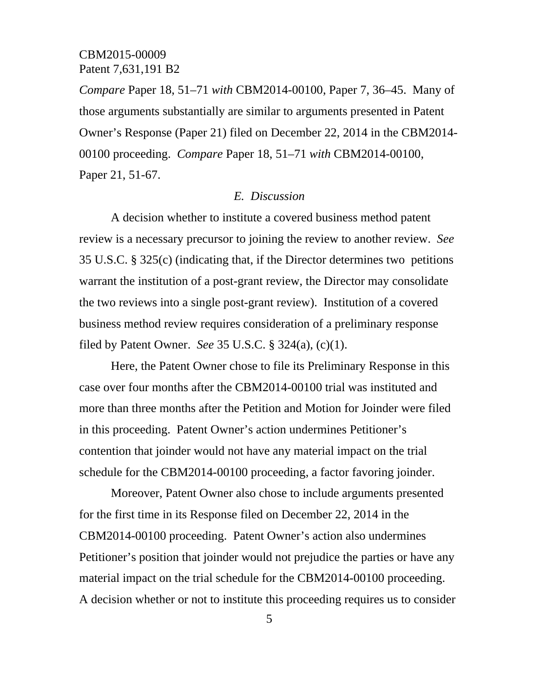*Compare* Paper 18, 51–71 *with* CBM2014-00100, Paper 7, 36–45. Many of those arguments substantially are similar to arguments presented in Patent Owner's Response (Paper 21) filed on December 22, 2014 in the CBM2014- 00100 proceeding. *Compare* Paper 18, 51–71 *with* CBM2014-00100, Paper 21, 51-67.

#### *E. Discussion*

A decision whether to institute a covered business method patent review is a necessary precursor to joining the review to another review. *See*  35 U.S.C. § 325(c) (indicating that, if the Director determines two petitions warrant the institution of a post-grant review, the Director may consolidate the two reviews into a single post-grant review). Institution of a covered business method review requires consideration of a preliminary response filed by Patent Owner. *See* 35 U.S.C. § 324(a), (c)(1).

Here, the Patent Owner chose to file its Preliminary Response in this case over four months after the CBM2014-00100 trial was instituted and more than three months after the Petition and Motion for Joinder were filed in this proceeding. Patent Owner's action undermines Petitioner's contention that joinder would not have any material impact on the trial schedule for the CBM2014-00100 proceeding, a factor favoring joinder.

Moreover, Patent Owner also chose to include arguments presented for the first time in its Response filed on December 22, 2014 in the CBM2014-00100 proceeding. Patent Owner's action also undermines Petitioner's position that joinder would not prejudice the parties or have any material impact on the trial schedule for the CBM2014-00100 proceeding. A decision whether or not to institute this proceeding requires us to consider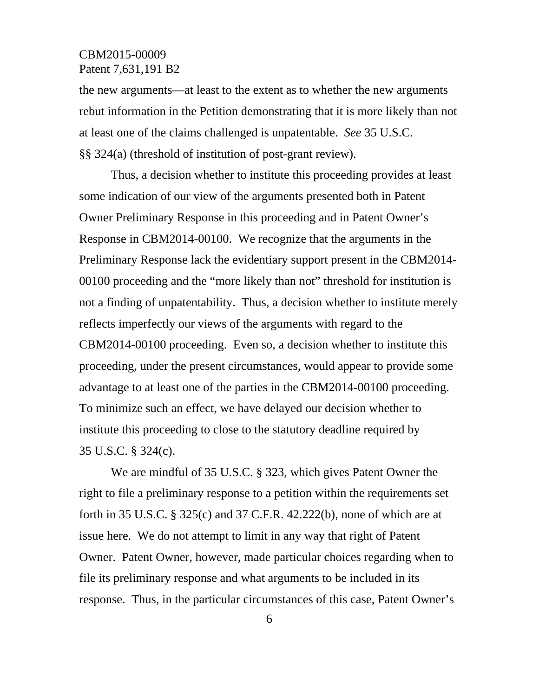the new arguments—at least to the extent as to whether the new arguments rebut information in the Petition demonstrating that it is more likely than not at least one of the claims challenged is unpatentable. *See* 35 U.S.C. §§ 324(a) (threshold of institution of post-grant review).

Thus, a decision whether to institute this proceeding provides at least some indication of our view of the arguments presented both in Patent Owner Preliminary Response in this proceeding and in Patent Owner's Response in CBM2014-00100. We recognize that the arguments in the Preliminary Response lack the evidentiary support present in the CBM2014- 00100 proceeding and the "more likely than not" threshold for institution is not a finding of unpatentability. Thus, a decision whether to institute merely reflects imperfectly our views of the arguments with regard to the CBM2014-00100 proceeding. Even so, a decision whether to institute this proceeding, under the present circumstances, would appear to provide some advantage to at least one of the parties in the CBM2014-00100 proceeding. To minimize such an effect, we have delayed our decision whether to institute this proceeding to close to the statutory deadline required by 35 U.S.C. § 324(c).

We are mindful of 35 U.S.C. § 323, which gives Patent Owner the right to file a preliminary response to a petition within the requirements set forth in 35 U.S.C. § 325(c) and 37 C.F.R. 42.222(b), none of which are at issue here. We do not attempt to limit in any way that right of Patent Owner. Patent Owner, however, made particular choices regarding when to file its preliminary response and what arguments to be included in its response. Thus, in the particular circumstances of this case, Patent Owner's

6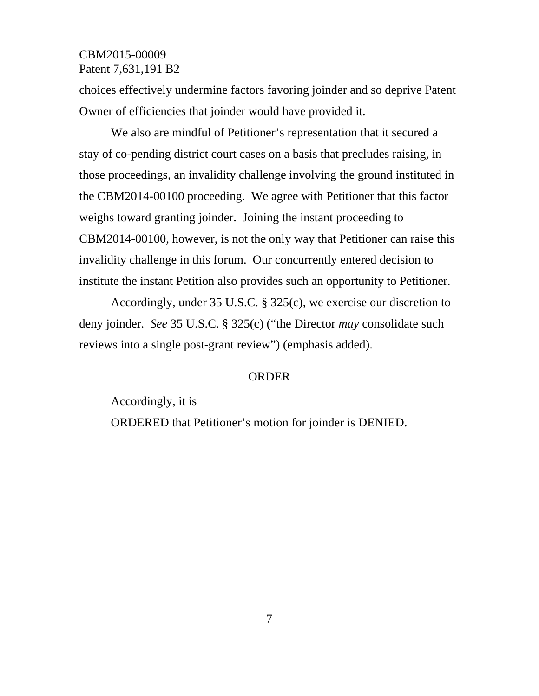choices effectively undermine factors favoring joinder and so deprive Patent Owner of efficiencies that joinder would have provided it.

We also are mindful of Petitioner's representation that it secured a stay of co-pending district court cases on a basis that precludes raising, in those proceedings, an invalidity challenge involving the ground instituted in the CBM2014-00100 proceeding. We agree with Petitioner that this factor weighs toward granting joinder. Joining the instant proceeding to CBM2014-00100, however, is not the only way that Petitioner can raise this invalidity challenge in this forum. Our concurrently entered decision to institute the instant Petition also provides such an opportunity to Petitioner.

Accordingly, under 35 U.S.C. § 325(c), we exercise our discretion to deny joinder. *See* 35 U.S.C. § 325(c) ("the Director *may* consolidate such reviews into a single post-grant review") (emphasis added).

#### ORDER

Accordingly, it is ORDERED that Petitioner's motion for joinder is DENIED.